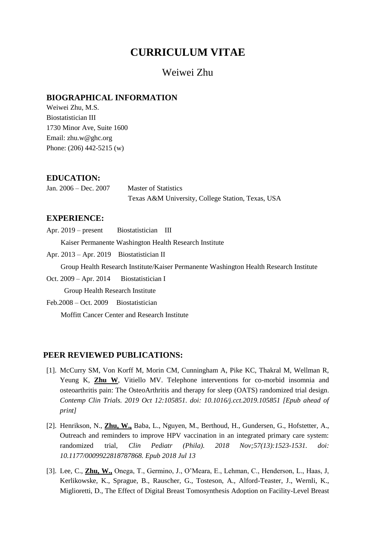# **CURRICULUM VITAE**

# Weiwei Zhu

### **BIOGRAPHICAL INFORMATION**

Weiwei Zhu, M.S. Biostatistician III 1730 Minor Ave, Suite 1600 Email: zhu.w@ghc.org Phone: (206) 442-5215 (w)

# **EDUCATION:**

Jan. 2006 – Dec. 2007 Master of Statistics Texas A&M University, College Station, Texas, USA

# **EXPERIENCE:**

Apr. 2019 – present Biostatistician III

Kaiser Permanente Washington Health Research Institute

Apr. 2013 – Apr. 2019 Biostatistician II

Group Health Research Institute/Kaiser Permanente Washington Health Research Institute

Oct. 2009 – Apr. 2014 Biostatistician I

**Group Health Research Institute** 

Feb.2008 – Oct. 2009 Biostatistician

Moffitt Cancer Center and Research Institute

#### **PEER REVIEWED PUBLICATIONS:**

- [1]. McCurry SM, Von Korff M, Morin CM, Cunningham A, Pike KC, Thakral M, Wellman R, Yeung K, **Zhu W**, Vitiello MV. Telephone interventions for co-morbid insomnia and osteoarthritis pain: The OsteoArthritis and therapy for sleep (OATS) randomized trial design. *Contemp Clin Trials. 2019 Oct 12:105851. doi: 10.1016/j.cct.2019.105851 [Epub ahead of print]*
- [2]. Henrikson, N., **Zhu, W.,** Baba, L., Nguyen, M., Berthoud, H., Gundersen, G., Hofstetter, A., Outreach and reminders to improve HPV vaccination in an integrated primary care system: randomized trial, *[Clin Pediatr \(Phila\).](https://www.ncbi.nlm.nih.gov/pubmed/30003794) 2018 Nov;57(13):1523-1531. doi: 10.1177/0009922818787868. Epub 2018 Jul 13*
- [3]. Lee, C., **Zhu, W.,** Onega, T., Germino, J., O'Meara, E., Lehman, C., Henderson, L., Haas, J, Kerlikowske, K., Sprague, B., Rauscher, G., Tosteson, A., Alford-Teaster, J., Wernli, K., Miglioretti, D., The Effect of Digital Breast Tomosynthesis Adoption on Facility-Level Breast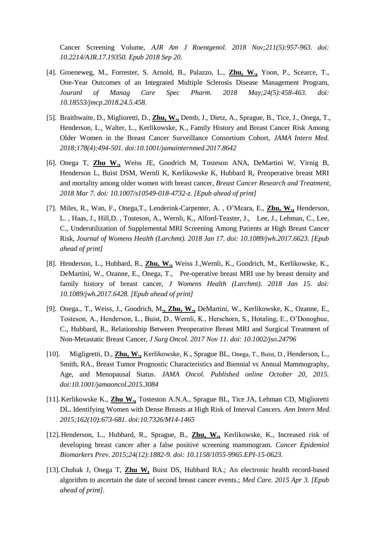Cancer Screening Volume, *[AJR Am J Roentgenol.](https://www.ncbi.nlm.nih.gov/pubmed/?term=The+Effect+of+Digital+Breast+Tomosynthesis+Adoption+on+Facility-Level+Breast+Cancer+Screening+Volume) 2018 Nov;211(5):957-963. doi: 10.2214/AJR.17.19350. Epub 2018 Sep 20.*

- [4]. Groeneweg, M., Forrester, S. Arnold, B., Palazzo, L., **Zhu, W.,** Yoon, P., Scearce, T., One-Year Outcomes of an Integrated Multiple Sclerosis Disease Management Program, *Jouranl of Manag Care Spec Pharm. 2018 May;24(5):458-463. doi: 10.18553/jmcp.2018.24.5.458.*
- [5]. Braithwaite, D., Miglioretti, D., **Zhu, W.,** Demb, J., Dietz, A., Sprague, B., Tice, J., Onega, T., Henderson, L., Walter, L., Kerlikowske, K., Family History and Breast Cancer Risk Among Older Women in the Breast Cancer Surveillance Consortium Cohort, *JAMA Intern Med. 2018;178(4):494-501. doi:10.1001/jamainternmed.2017.8642*
- [6]. Onega T, **Zhu W.,** Weiss JE, Goodrich M, Tosteson ANA, DeMartini W, Virnig B, Henderson L, Buist DSM, Wernli K, Kerlikowske K, Hubbard R, Preoperative breast MRI and mortality among older women with breast cancer, *Breast Cancer Research and Treatment, 2018 Mar 7. doi: 10.1007/s10549-018-4732-z. [Epub ahead of print]*
- [7]. Miles, R., Wan, F., Onega,T., Lenderink-Carpenter, A. , O'Meara, E., **Zhu, W.,** Henderson, L. , Haas, J., Hill,D. , Tosteson, A., Wernli, K., Alford-Teaster, J., Lee, J., Lehman, C., Lee, C., Underutilization of Supplemental MRI Screening Among Patients at High Breast Cancer Risk, *Journal of Womens Health (Larchmt). 2018 Jan 17. doi: 10.1089/jwh.2017.6623. [Epub ahead of print]*
- [8]. Henderson, L., Hubbard, R., **Zhu, W.,** Weiss J.,Wernli, K., Goodrich, M., Kerlikowske, K., DeMartini, W., Ozanne, E., Onega, T., Pre-operative breast MRI use by breast density and family history of breast cancer, *J Womens Health (Larchmt). 2018 Jan 15. doi: 10.1089/jwh.2017.6428. [Epub ahead of print]*
- [9]. Onega., T., Weiss, J., Goodrich, M**., Zhu, W.,** DeMartini, W., Kerlikowske, K., Ozanne, E., Tosteson, A., Henderson, L., Buist, D., Wernli, K., Herschorn, S., Hotaling, E., O'Donoghue, C., Hubbard, R., Relationship Between Preoperative Breast MRI and Surgical Treatment of Non-Metastatic Breast Cancer, *J Surg Oncol. 2017 Nov 11. doi: 10.1002/jso.24796*
- [10]. Migligretti, D., **Zhu, W.,** Kerlikowske, K., Sprague BL, Onega, T., Buist, D., Henderson, L., Smith, RA., Breast Tumor Prognostic Characteristics and Biennial vs Annual Mammography, Age, and Menopausal Status. *JAMA Oncol. Published online October 20, 2015. doi:10.1001/jamaoncol.2015.3084*
- [11].Kerlikowske K., **Zhu W.,** Tosteston A.N.A., Sprague BL, Tice JA, Lehman CD, Miglioretti DL. Identifying Women with Dense Breasts at High Risk of Interval Cancers. *Ann Intern Med. 2015;162(10):673-681. doi:10.7326/M14-1465*
- [12].Henderson, L., Hubbard, R., Sprague, B., **Zhu, W.,** Kerlikowske, K., Increased risk of developing breast cancer after a false positive screening mammogram. *Cancer Epidemiol Biomarkers Prev. 2015;24(12):1882-9. doi: 10.1158/1055-9965.EPI-15-0623.*
- [13].Chubak J, Onega T, **Zhu W,** Buist DS, Hubbard RA.; An electronic health record-based algorithm to ascertain the date of second breast cancer events.; *Med Care. 2015 Apr 3. [Epub ahead of print].*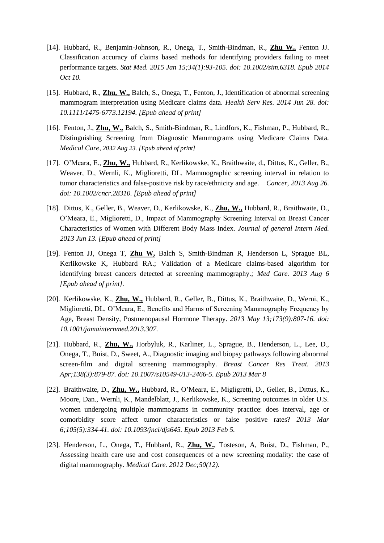- [14]. Hubbard, R., Benjamin-Johnson, R., Onega, T., Smith-Bindman, R., **Zhu W.,** Fenton JJ. Classification accuracy of claims based methods for identifying providers failing to meet performance targets. *Stat Med. 2015 Jan 15;34(1):93-105. doi: 10.1002/sim.6318. Epub 2014 Oct 10.*
- [15]. Hubbard, R., **Zhu, W.,** Balch, S., Onega, T., Fenton, J., Identification of abnormal screening mammogram interpretation using Medicare claims data. *[Health Serv Res.](http://www.ncbi.nlm.nih.gov/pubmed/24976519) 2014 Jun 28. doi: 10.1111/1475-6773.12194. [Epub ahead of print]*
- [16]. Fenton, J., **Zhu, W.,** Balch, S., Smith-Bindman, R., Lindfors, K., Fishman, P., Hubbard, R., Distinguishing Screening from Diagnostic Mammograms using Medicare Claims Data. *Medical Care, 2032 Aug 23. [Epub ahead of print]*
- [17]. O'Meara, E., **Zhu, W.,** Hubbard, R., Kerlikowske, K., Braithwaite, d., Dittus, K., Geller, B., Weaver, D., Wernli, K., Miglioretti, DL. Mammographic screening interval in relation to tumor characteristics and false-positive risk by race/ethnicity and age. *Cancer*, *2013 Aug 26. doi: 10.1002/cncr.28310. [Epub ahead of print]*
- [18]. Dittus, K., Geller, B., Weaver, D., Kerlikowske, K., **Zhu, W.,** Hubbard, R., Braithwaite, D., O'Meara, E., Miglioretti, D., Impact of Mammography Screening Interval on Breast Cancer Characteristics of Women with Different Body Mass Index. *[Journal of general Intern Med.](http://www.ncbi.nlm.nih.gov/pubmed/?term=Impact+of+Mammography+Screening+Interval+on+Breast+Cancer+Characteristics+of+Women+with+Different+Body+Mass+Index) 2013 Jun 13. [Epub ahead of print]*
- [19]. Fenton JJ, Onega T, **Zhu W,** Balch S, Smith-Bindman R, Henderson L, Sprague BL, Kerlikowske K, Hubbard RA.; Validation of a Medicare claims-based algorithm for identifying breast cancers detected at screening mammography.*; Med Care. 2013 Aug 6 [Epub ahead of print].*
- [20]. Kerlikowske, K., **Zhu, W.,** Hubbard, R., Geller, B., Dittus, K., Braithwaite, D., Werni, K., Miglioretti, DL, O'Meara, E., Benefits and Harms of Screening Mammography Frequency by Age, Breast Density, Postmenopausal Hormone Therapy. *2013 May 13;173(9):807-16. doi: 10.1001/jamainternmed.2013.307.*
- [21]. Hubbard, R., **Zhu, W.,** Horbyluk, R., Karliner, L., Sprague, B., Henderson, L., Lee, D., Onega, T., Buist, D., Sweet, A., Diagnostic imaging and biopsy pathways following abnormal screen-film and digital screening mammography. *[Breast Cancer Res Treat.](http://www.ncbi.nlm.nih.gov/pubmed/23471650) 2013 Apr;138(3):879-87. doi: 10.1007/s10549-013-2466-5. Epub 2013 Mar 8*
- [22]. Braithwaite, D., **Zhu, W.,** Hubbard, R., O'Meara, E., Migligretti, D., Geller, B., Dittus, K., Moore, Dan., Wernli, K., Mandelblatt, J., Kerlikowske, K., Screening outcomes in older U.S. women undergoing multiple mammograms in community practice: does interval, age or comorbidity score affect tumor characteristics or false positive rates? *2013 Mar 6;105(5):334-41. doi: 10.1093/jnci/djs645. Epub 2013 Feb 5.*
- [23]. Henderson, L., Onega, T., Hubbard, R., **Zhu, W.**, Tosteson, A, Buist, D., Fishman, P., Assessing health care use and cost consequences of a new screening modality: the case of digital mammography. *Medical Care. 2012 Dec;50(12).*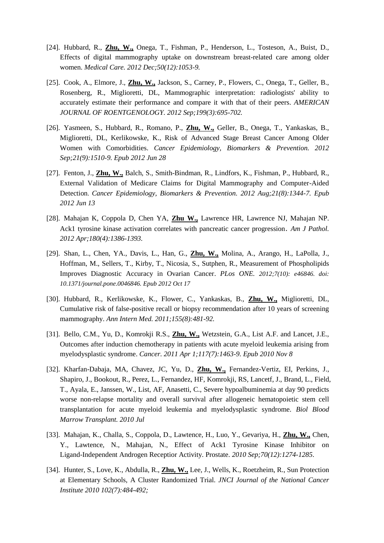- [24]. Hubbard, R., **Zhu, W.,** Onega, T., Fishman, P., Henderson, L., Tosteson, A., Buist, D., Effects of digital mammography uptake on downstream breast-related care among older women. *Medical Care. 2012 Dec;50(12):1053-9.*
- [25]. Cook, A., Elmore, J., **Zhu, W.,** Jackson, S., Carney, P., Flowers, C., Onega, T., Geller, B., Rosenberg, R., Miglioretti, DL, Mammographic interpretation: radiologists' ability to accurately estimate their performance and compare it with that of their peers. *AMERICAN JOURNAL OF ROENTGENOLOGY. 2012 Sep;199(3):695-702.*
- [26]. Yasmeen, S., Hubbard, R., Romano, P., **Zhu, W.,** Geller, B., Onega, T., Yankaskas, B., Miglioretti, DL, Kerlikowske, K., Risk of Advanced Stage Breast Cancer Among Older Women with Comorbidities. *Cancer Epidemiology, Biomarkers & Prevention. 2012 Sep;21(9):1510-9. Epub 2012 Jun 28*
- [27]. Fenton, J., **Zhu, W.,** Balch, S., Smith-Bindman, R., Lindfors, K., Fishman, P., Hubbard, R., External Validation of Medicare Claims for Digital Mammography and Computer-Aided Detection. *Cancer Epidemiology, Biomarkers & Prevention. 2012 Aug;21(8):1344-7. Epub 2012 Jun 13*
- [28]. Mahajan K, Coppola D, Chen YA, **Zhu W.,** Lawrence HR, Lawrence NJ, Mahajan NP. Ack1 tyrosine kinase activation correlates with pancreatic cancer progression. *Am J Pathol. 2012 Apr;180(4):1386-1393.*
- [29]. Shan, L., Chen, YA., Davis, L., Han, G., **Zhu, W.,** Molina, A., Arango, H., LaPolla, J., Hoffman, M., Sellers, T., Kirby, T., Nicosia, S., Sutphen, R., Measurement of Phospholipids Improves Diagnostic Accuracy in Ovarian Cancer. *PLos ONE. 2012;7(10): e46846. doi: 10.1371/journal.pone.0046846. Epub 2012 Oct 17*
- [30]. Hubbard, R., Kerlikowske, K., Flower, C., Yankaskas, B., **Zhu, W.,** Miglioretti, DL, Cumulative risk of false-positive recall or biopsy recommendation after 10 years of screening mammography. *Ann Intern Med. 2011;155(8):481-92.*
- [31]. Bello, C.M., Yu, D., Komrokji R.S., **Zhu, W.,** Wetzstein, G.A., List A.F. and Lancet, J.E., Outcomes after induction chemotherapy in patients with acute myeloid leukemia arising from myelodysplastic syndrome. *Cancer. 2011 Apr 1;117(7):1463-9. Epub 2010 Nov 8*
- [32]. Kharfan-Dabaja, MA, Chavez, JC, Yu, D., **Zhu, W.,** Fernandez-Vertiz, EI, Perkins, J., Shapiro, J., Bookout, R., Perez, L., Fernandez, HF, Komrokji, RS, Lancetf, J., Brand, L., Field, T., Ayala, E., Janssen, W., List, AF, Anasetti, C., Severe hypoalbuminemia at day 90 predicts worse non-relapse mortality and overall survival after allogeneic hematopoietic stem cell transplantation for acute myeloid leukemia and myelodysplastic syndrome. *Biol Blood Marrow Transplant. 2010 Jul*
- [33]. Mahajan, K., Challa, S., Coppola, D., Lawtence, H., Luo, Y., Gevariya, H., **Zhu, W.,** Chen, Y., Lawtence, N., Mahajan, N., Effect of Ack1 Tyrosine Kinase Inhibitor on Ligand-Independent Androgen Receptior Activity. Prostate. *2010 Sep;70(12):1274-1285*.
- [34]. Hunter, S., Love, K., Abdulla, R., **Zhu, W.,** Lee, J., Wells, K., Roetzheim, R., Sun Protection at Elementary Schools, A Cluster Randomized Trial. *JNCI Journal of the National Cancer Institute 2010 102(7):484-492;*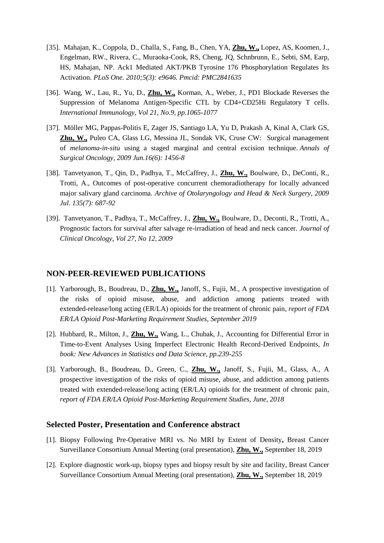- [35]. Mahajan, K., Coppola, D., Challa, S., Fang, B., Chen, YA, **Zhu, W.,** Lopez, AS, Koomen, J., Engelman, RW., Rivera, C., Muraoka-Cook, RS, Cheng, JQ, Schnbrunn, E., Sebti, SM, Earp, HS, Mahajan, NP. Ack1 Mediated AKT/PKB Tyrosine 176 Phosphorylation Regulates Its Activation. *PLoS One. 2010;5(3): e9646. Pmcid: PMC2841635*
- [36]. Wang, W., Lau, R., Yu, D., **Zhu, W.,** Korman, A., Weber, J., PD1 Blockade Reverses the Suppression of Melanoma Antigen-Specific CTL by CD4+CD25Hi Regulatory T cells. *International Immunology, Vol 21, No.9, pp.1065-1077*
- [37]. Möller MG, Pappas-Politis E, Zager JS, Santiago LA, Yu D, Prakash A, Kinal A, Clark GS, **Zhu, W.,** Puleo CA, Glass LG, Messina JL, Sondak VK, Cruse CW: Surgical management of *melanoma-in-situ* using a staged marginal and central excision technique. *Annals of Surgical Oncology, 2009 Jun.16(6): 1456-8*
- [38]. Tanvetyanon, T., Qin, D., Padhya, T., McCaffrey, J., **Zhu, W.,** Boulware, D., DeConti, R., Trotti, A., Outcomes of post-operative concurrent chemoradiotherapy for locally advanced major salivary gland carcinoma. *Archive of Otolaryngology and Head & Neck Surgery, 2009 Jul. 135(7): 687-92*
- [39]. Tanvetyanon, T., Padhya, T., McCaffrey, J., **Zhu, W.,** Boulware, D., Deconti, R., Trotti, A., Prognostic factors for survival after salvage re-irradiation of head and neck cancer. *Journal of Clinical Oncology, Vol 27, No 12*, *2009*

#### **NON-PEER-REVIEWED PUBLICATIONS**

- [1]. Yarborough, B., Boudreau, D., **Zhu, W.,** Janoff, S., Fujii, M., A prospective investigation of the risks of opioid misuse, abuse, and addiction among patients treated with extended-release/long acting (ER/LA) opioids for the treatment of chronic pain, *report of FDA ER/LA Opioid Post-Marketing Requirement Studies, September 2019*
- [2]. Hubbard, R., Milton, J., **Zhu, W.,** Wang, L., Chubak, J., Accounting for Differential Error in Time-to-Event Analyses Using Imperfect Electronic Health Record-Derived Endpoints, *In book: New Advances in Statistics and Data Science, pp.239-255*
- [3]. Yarborough, B., Boudreau, D., Green, C., **Zhu, W.,** Janoff, S., Fujii, M., Glass, A., A prospective investigation of the risks of opioid misuse, abuse, and addiction among patients treated with extended-release/long acting (ER/LA) opioids for the treatment of chronic pain, *report of FDA ER/LA Opioid Post-Marketing Requirement Studies, June, 2018*

#### **Selected Poster, Presentation and Conference abstract**

- [1]. Biopsy Following Pre-Operative MRI vs. No MRI by Extent of Density**,** Breast Cancer Surveillance Consortium Annual Meeting (oral presentation), **Zhu, W.,** September 18, 2019
- [2]. Explore diagnostic work-up, biopsy types and biopsy result by site and facility, Breast Cancer Surveillance Consortium Annual Meeting (oral presentation), **Zhu, W.,** September 18, 2019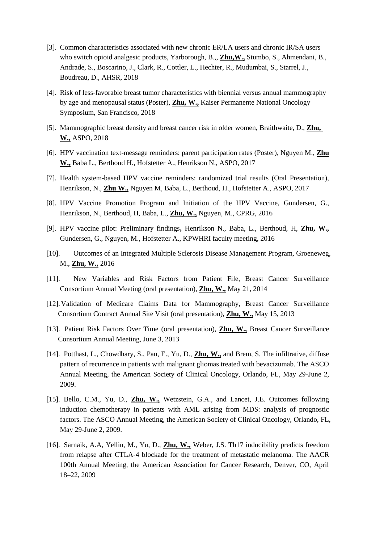- [3]. Common characteristics associated with new chronic ER/LA users and chronic IR/SA users who switch opioid analgesic products, Yarborough, B.,, **Zhu,W.,** Stumbo, S., Ahmendani, B., Andrade, S., Boscarino, J., Clark, R., Cottler, L., Hechter, R., Mudumbai, S., Starrel, J., Boudreau, D., AHSR, 2018
- [4]. Risk of less-favorable breast tumor characteristics with biennial versus annual mammography by age and menopausal status (Poster), **Zhu, W.,** Kaiser Permanente National Oncology Symposium, San Francisco, 2018
- [5]. Mammographic breast density and breast cancer risk in older women, Braithwaite, D., **Zhu, W.,** ASPO, 2018
- [6]. HPV vaccination text-message reminders: parent participation rates (Poster), Nguyen M., **Zhu W.,** Baba L., Berthoud H., Hofstetter A., Henrikson N., ASPO, 2017
- [7]. Health system-based HPV vaccine reminders: randomized trial results (Oral Presentation), Henrikson, N., **Zhu W.,** Nguyen M, Baba, L., Berthoud, H., Hofstetter A., ASPO, 2017
- [8]. HPV Vaccine Promotion Program and Initiation of the HPV Vaccine, Gundersen, G., Henrikson, N., Berthoud, H, Baba, L., **Zhu, W.,** Nguyen, M., CPRG, 2016
- [9]. HPV vaccine pilot: Preliminary findings**,** Henrikson N., Baba, L., Berthoud, H, **Zhu, W.,** Gundersen, G., Nguyen, M., Hofstetter A., KPWHRI faculty meeting, 2016
- [10]. Outcomes of an Integrated Multiple Sclerosis Disease Management Program, Groeneweg, M., **Zhu, W.,** 2016
- [11]. New Variables and Risk Factors from Patient File, Breast Cancer Surveillance Consortium Annual Meeting (oral presentation), **Zhu, W.,** May 21, 2014
- [12].Validation of Medicare Claims Data for Mammography, Breast Cancer Surveillance Consortium Contract Annual Site Visit (oral presentation), **Zhu, W.,** May 15, 2013
- [13]. Patient Risk Factors Over Time (oral presentation), **Zhu, W.,** Breast Cancer Surveillance Consortium Annual Meeting, June 3, 2013
- [14]. Potthast, L., Chowdhary, S., Pan, E., Yu, D., **Zhu, W.,** and Brem, S. The infiltrative, diffuse pattern of recurrence in patients with malignant gliomas treated with bevacizumab. The ASCO Annual Meeting, the American Society of Clinical Oncology, Orlando, FL, May 29-June 2, 2009.
- [15]. Bello, C.M., Yu, D., **Zhu, W.,** Wetzstein, G.A., and Lancet, J.E. Outcomes following induction chemotherapy in patients with AML arising from MDS: analysis of prognostic factors. The ASCO Annual Meeting, the American Society of Clinical Oncology, Orlando, FL, May 29-June 2, 2009.
- [16]. Sarnaik, A.A, Yellin, M., Yu, D., **Zhu, W.,** Weber, J.S. Th17 inducibility predicts freedom from relapse after CTLA-4 blockade for the treatment of metastatic melanoma. The AACR 100th Annual Meeting, the American Association for Cancer Research, Denver, CO, April 18–22, 2009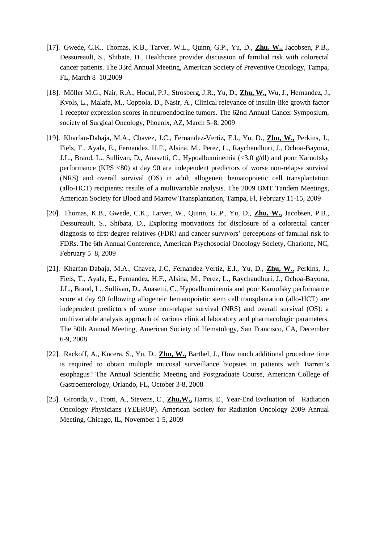- [17]. Gwede, C.K., Thomas, K.B., Tarver, W.L., Quinn, G.P., Yu, D., **Zhu, W.,** Jacobsen, P.B., Dessureault, S., Shibate, D., Healthcare provider discussion of familial risk with colorectal cancer patients. The 33rd Annual Meeting, American Society of Preventive Oncology, Tampa, FL, March 8–10,2009
- [18]. Möller M.G., Nair, R.A., Hodul, P.J., Strosberg, J.R., Yu, D., **Zhu, W.,** Wu, J., Hernandez, J., Kvols, L., Malafa, M., Coppola, D., Nasir, A., Clinical relevance of insulin-like growth factor 1 receptor expression scores in neuroendocrine tumors. The 62nd Annual Cancer Symposium, society of Surgical Oncology, Phoenix, AZ, March 5–8, 2009
- [19]. Kharfan-Dabaja, M.A., Chavez, J.C., Fernandez-Vertiz, E.I., Yu, D., **Zhu, W.,** Perkins, J., Fiels, T., Ayala, E., Fernandez, H.F., Alsina, M., Perez, L., Raychaudhuri, J., Ochoa-Bayona, J.L., Brand, L., Sullivan, D., Anasetti, C., Hypoalbuminemia (<3.0 g/dl) and poor Karnofsky performance (KPS <80) at day 90 are independent predictors of worse non-relapse survival (NRS) and overall survival (OS) in adult allogeneic hematopoietic cell transplantation (allo-HCT) recipients: results of a multivariable analysis. The 2009 BMT Tandem Meetings, American Society for Blood and Marrow Transplantation, Tampa, Fl, February 11-15, 2009
- [20]. Thomas, K.B., Gwede, C.K., Tarver, W., Quinn, G..P., Yu, D., **Zhu, W.,** Jacobsen, P.B., Dessureault, S., Shibata, D., Exploring motivations for disclosure of a colorectal cancer diagnosis to first-degree relatives (FDR) and cancer survivors' perceptions of familial risk to FDRs. The 6th Annual Conference, American Psychosocial Oncology Society, Charlotte, NC, February 5–8, 2009
- [21]. Kharfan-Dabaja, M.A., Chavez, J.C, Fernandez-Vertiz, E.I., Yu, D., **Zhu, W.,** Perkins, J., Fiels, T., Ayala, E., Fernandez, H.F., Alsina, M., Perez, L., Raychaudhuri, J., Ochoa-Bayona, J.L., Brand, L., Sullivan, D., Anasetti, C., Hypoalbuminemia and poor Karnofsky performance score at day 90 following allogeneic hematopoietic stem cell transplantation (allo-HCT) are independent predictors of worse non-relapse survival (NRS) and overall survival (OS): a multivariable analysis approach of various clinical laboratory and pharmacologic parameters. The 50th Annual Meeting, American Society of Hematology, San Francisco, CA, December 6-9, 2008
- [22]. Rackoff, A., Kucera, S., Yu, D., **Zhu, W.,** Barthel, J., How much additional procedure time is required to obtain multiple mucosal surveillance biopsies in patients with Barrett's esophagus? The Annual Scientific Meeting and Postgraduate Course, American College of Gastroenterology, Orlando, FL, October 3-8, 2008
- [23]. Gironda,V., Trotti, A., Stevens, C., **Zhu,W.,** Harris, E., Year-End Evaluation of Radiation Oncology Physicians (YEEROP). American Society for Radiation Oncology 2009 Annual Meeting, Chicago, IL, November 1-5, 2009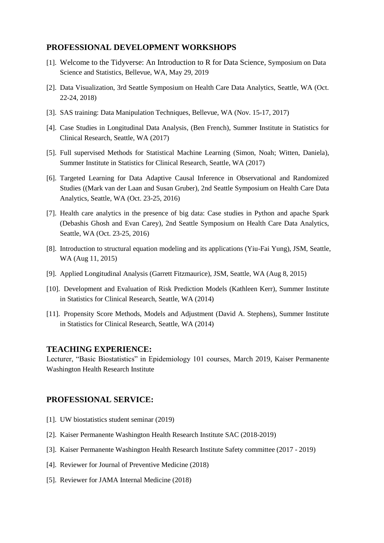#### **PROFESSIONAL DEVELOPMENT WORKSHOPS**

- [1]. Welcome to the Tidyverse: An Introduction to R for Data Science, Symposium on Data Science and Statistics, Bellevue, WA, May 29, 2019
- [2]. Data Visualization, 3rd Seattle Symposium on Health Care Data Analytics, Seattle, WA (Oct. 22-24, 2018)
- [3]. SAS training: Data Manipulation Techniques, Bellevue, WA (Nov. 15-17, 2017)
- [4]. Case Studies in Longitudinal Data Analysis, (Ben French), Summer Institute in Statistics for Clinical Research, Seattle, WA (2017)
- [5]. Full supervised Methods for Statistical Machine Learning (Simon, Noah; Witten, Daniela), Summer Institute in Statistics for Clinical Research, Seattle, WA (2017)
- [6]. Targeted Learning for Data Adaptive Causal Inference in Observational and Randomized Studies ((Mark van der Laan and Susan Gruber), 2nd Seattle Symposium on Health Care Data Analytics, Seattle, WA (Oct. 23-25, 2016)
- [7]. Health care analytics in the presence of big data: Case studies in Python and apache Spark (Debashis Ghosh and Evan Carey), 2nd Seattle Symposium on Health Care Data Analytics, Seattle, WA (Oct. 23-25, 2016)
- [8]. Introduction to structural equation modeling and its applications (Yiu-Fai Yung), JSM, Seattle, WA (Aug 11, 2015)
- [9]. Applied Longitudinal Analysis (Garrett Fitzmaurice), JSM, Seattle, WA (Aug 8, 2015)
- [10]. Development and Evaluation of Risk Prediction Models (Kathleen Kerr), Summer Institute in Statistics for Clinical Research, Seattle, WA (2014)
- [11]. Propensity Score Methods, Models and Adjustment (David A. Stephens), Summer Institute in Statistics for Clinical Research, Seattle, WA (2014)

#### **TEACHING EXPERIENCE:**

Lecturer, "Basic Biostatistics" in Epidemiology 101 courses, March 2019, Kaiser Permanente Washington Health Research Institute

# **PROFESSIONAL SERVICE:**

- [1]. UW biostatistics student seminar (2019)
- [2]. Kaiser Permanente Washington Health Research Institute SAC (2018-2019)
- [3]. Kaiser Permanente Washington Health Research Institute Safety committee (2017 2019)
- [4]. Reviewer for Journal of Preventive Medicine (2018)
- [5]. Reviewer for JAMA Internal Medicine (2018)